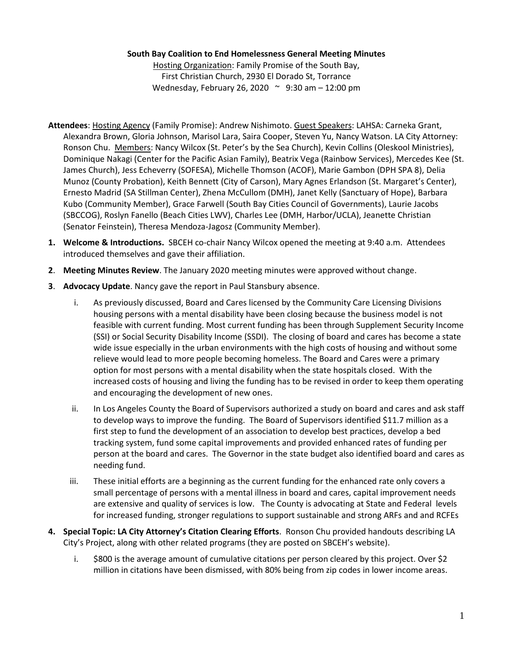## **South Bay Coalition to End Homelessness General Meeting Minutes**

Hosting Organization: Family Promise of the South Bay, First Christian Church, 2930 El Dorado St, Torrance Wednesday, February 26, 2020 ~ 9:30 am – 12:00 pm

- **Attendees**: Hosting Agency (Family Promise): Andrew Nishimoto. Guest Speakers: LAHSA: Carneka Grant, Alexandra Brown, Gloria Johnson, Marisol Lara, Saira Cooper, Steven Yu, Nancy Watson. LA City Attorney: Ronson Chu. Members: Nancy Wilcox (St. Peter's by the Sea Church), Kevin Collins (Oleskool Ministries), Dominique Nakagi (Center for the Pacific Asian Family), Beatrix Vega (Rainbow Services), Mercedes Kee (St. James Church), Jess Echeverry (SOFESA), Michelle Thomson (ACOF), Marie Gambon (DPH SPA 8), Delia Munoz (County Probation), Keith Bennett (City of Carson), Mary Agnes Erlandson (St. Margaret's Center), Ernesto Madrid (SA Stillman Center), Zhena McCullom (DMH), Janet Kelly (Sanctuary of Hope), Barbara Kubo (Community Member), Grace Farwell (South Bay Cities Council of Governments), Laurie Jacobs (SBCCOG), Roslyn Fanello (Beach Cities LWV), Charles Lee (DMH, Harbor/UCLA), Jeanette Christian (Senator Feinstein), Theresa Mendoza-Jagosz (Community Member).
- **1. Welcome & Introductions.** SBCEH co-chair Nancy Wilcox opened the meeting at 9:40 a.m. Attendees introduced themselves and gave their affiliation.
- **2**. **Meeting Minutes Review**. The January 2020 meeting minutes were approved without change.
- **3**. **Advocacy Update**. Nancy gave the report in Paul Stansbury absence.
	- i. As previously discussed, Board and Cares licensed by the Community Care Licensing Divisions housing persons with a mental disability have been closing because the business model is not feasible with current funding. Most current funding has been through Supplement Security Income (SSI) or Social Security Disability Income (SSDI). The closing of board and cares has become a state wide issue especially in the urban environments with the high costs of housing and without some relieve would lead to more people becoming homeless. The Board and Cares were a primary option for most persons with a mental disability when the state hospitals closed. With the increased costs of housing and living the funding has to be revised in order to keep them operating and encouraging the development of new ones.
	- ii. In Los Angeles County the Board of Supervisors authorized a study on board and cares and ask staff to develop ways to improve the funding. The Board of Supervisors identified \$11.7 million as a first step to fund the development of an association to develop best practices, develop a bed tracking system, fund some capital improvements and provided enhanced rates of funding per person at the board and cares. The Governor in the state budget also identified board and cares as needing fund.
	- iii. These initial efforts are a beginning as the current funding for the enhanced rate only covers a small percentage of persons with a mental illness in board and cares, capital improvement needs are extensive and quality of services is low. The County is advocating at State and Federal levels for increased funding, stronger regulations to support sustainable and strong ARFs and and RCFEs
- **4. Special Topic: LA City Attorney's Citation Clearing Efforts**. Ronson Chu provided handouts describing LA City's Project, along with other related programs (they are posted on SBCEH's website).
	- i. \$800 is the average amount of cumulative citations per person cleared by this project. Over \$2 million in citations have been dismissed, with 80% being from zip codes in lower income areas.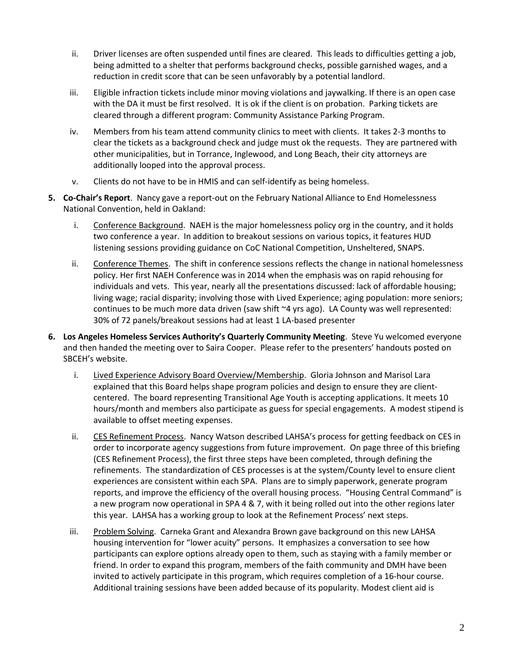- ii. Driver licenses are often suspended until fines are cleared. This leads to difficulties getting a job, being admitted to a shelter that performs background checks, possible garnished wages, and a reduction in credit score that can be seen unfavorably by a potential landlord.
- iii. Eligible infraction tickets include minor moving violations and jaywalking. If there is an open case with the DA it must be first resolved. It is ok if the client is on probation. Parking tickets are cleared through a different program: Community Assistance Parking Program.
- iv. Members from his team attend community clinics to meet with clients. It takes 2-3 months to clear the tickets as a background check and judge must ok the requests. They are partnered with other municipalities, but in Torrance, Inglewood, and Long Beach, their city attorneys are additionally looped into the approval process.
- v. Clients do not have to be in HMIS and can self-identify as being homeless.
- **5. Co-Chair's Report**. Nancy gave a report-out on the February National Alliance to End Homelessness National Convention, held in Oakland:
	- i. Conference Background. NAEH is the major homelessness policy org in the country, and it holds two conference a year. In addition to breakout sessions on various topics, it features HUD listening sessions providing guidance on CoC National Competition, Unsheltered, SNAPS.
	- ii. Conference Themes. The shift in conference sessions reflects the change in national homelessness policy. Her first NAEH Conference was in 2014 when the emphasis was on rapid rehousing for individuals and vets. This year, nearly all the presentations discussed: lack of affordable housing; living wage; racial disparity; involving those with Lived Experience; aging population: more seniors; continues to be much more data driven (saw shift ~4 yrs ago). LA County was well represented: 30% of 72 panels/breakout sessions had at least 1 LA-based presenter
- **6. Los Angeles Homeless Services Authority's Quarterly Community Meeting**. Steve Yu welcomed everyone and then handed the meeting over to Saira Cooper. Please refer to the presenters' handouts posted on SBCEH's website.
	- i. Lived Experience Advisory Board Overview/Membership. Gloria Johnson and Marisol Lara explained that this Board helps shape program policies and design to ensure they are clientcentered. The board representing Transitional Age Youth is accepting applications. It meets 10 hours/month and members also participate as guess for special engagements. A modest stipend is available to offset meeting expenses.
	- ii. CES Refinement Process. Nancy Watson described LAHSA's process for getting feedback on CES in order to incorporate agency suggestions from future improvement. On page three of this briefing (CES Refinement Process), the first three steps have been completed, through defining the refinements. The standardization of CES processes is at the system/County level to ensure client experiences are consistent within each SPA. Plans are to simply paperwork, generate program reports, and improve the efficiency of the overall housing process. "Housing Central Command" is a new program now operational in SPA 4 & 7, with it being rolled out into the other regions later this year. LAHSA has a working group to look at the Refinement Process' next steps.
	- iii. Problem Solving. Carneka Grant and Alexandra Brown gave background on this new LAHSA housing intervention for "lower acuity" persons. It emphasizes a conversation to see how participants can explore options already open to them, such as staying with a family member or friend. In order to expand this program, members of the faith community and DMH have been invited to actively participate in this program, which requires completion of a 16-hour course. Additional training sessions have been added because of its popularity. Modest client aid is